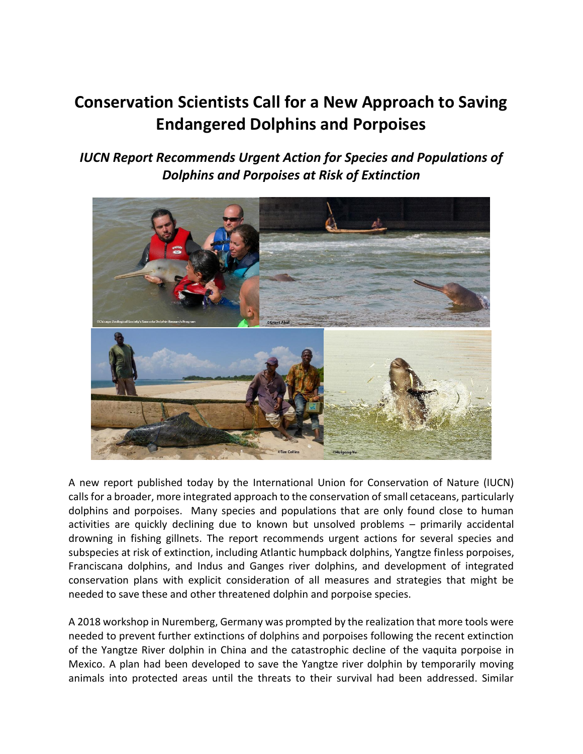# **Conservation Scientists Call for a New Approach to Saving Endangered Dolphins and Porpoises**

*IUCN Report Recommends Urgent Action for Species and Populations of Dolphins and Porpoises at Risk of Extinction*



A new report published today by the International Union for Conservation of Nature (IUCN) calls for a broader, more integrated approach to the conservation of small cetaceans, particularly dolphins and porpoises. Many species and populations that are only found close to human activities are quickly declining due to known but unsolved problems – primarily accidental drowning in fishing gillnets. The report recommends urgent actions for several species and subspecies at risk of extinction, including Atlantic humpback dolphins, Yangtze finless porpoises, Franciscana dolphins, and Indus and Ganges river dolphins, and development of integrated conservation plans with explicit consideration of all measures and strategies that might be needed to save these and other threatened dolphin and porpoise species.

A 2018 workshop in Nuremberg, Germany was prompted by the realization that more tools were needed to prevent further extinctions of dolphins and porpoises following the recent extinction of the Yangtze River dolphin in China and the catastrophic decline of the vaquita porpoise in Mexico. A plan had been developed to save the Yangtze river dolphin by temporarily moving animals into protected areas until the threats to their survival had been addressed. Similar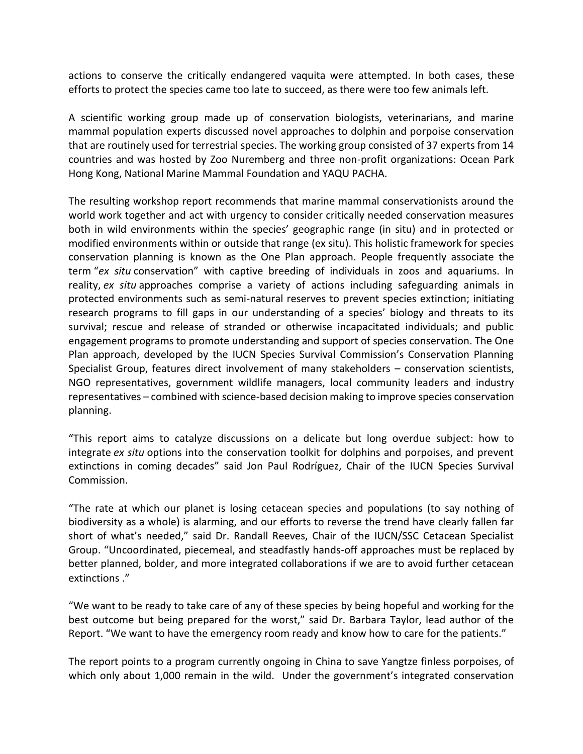actions to conserve the critically endangered vaquita were attempted. In both cases, these efforts to protect the species came too late to succeed, as there were too few animals left.

A scientific working group made up of conservation biologists, veterinarians, and marine mammal population experts discussed novel approaches to dolphin and porpoise conservation that are routinely used for terrestrial species. The working group consisted of 37 experts from 14 countries and was hosted by Zoo Nuremberg and three non-profit organizations: Ocean Park Hong Kong, National Marine Mammal Foundation and YAQU PACHA.

The resulting workshop report recommends that marine mammal conservationists around the world work together and act with urgency to consider critically needed conservation measures both in wild environments within the species' geographic range (in situ) and in protected or modified environments within or outside that range (ex situ). This holistic framework for species conservation planning is known as the One Plan approach. People frequently associate the term "*ex situ* conservation" with captive breeding of individuals in zoos and aquariums. In reality, *ex situ* approaches comprise a variety of actions including safeguarding animals in protected environments such as semi-natural reserves to prevent species extinction; initiating research programs to fill gaps in our understanding of a species' biology and threats to its survival; rescue and release of stranded or otherwise incapacitated individuals; and public engagement programs to promote understanding and support of species conservation. The One Plan approach, developed by the IUCN Species Survival Commission's Conservation Planning Specialist Group, features direct involvement of many stakeholders – conservation scientists, NGO representatives, government wildlife managers, local community leaders and industry representatives – combined with science-based decision making to improve species conservation planning.

"This report aims to catalyze discussions on a delicate but long overdue subject: how to integrate *ex situ* options into the conservation toolkit for dolphins and porpoises, and prevent extinctions in coming decades" said Jon Paul Rodríguez, Chair of the IUCN Species Survival Commission.

"The rate at which our planet is losing cetacean species and populations (to say nothing of biodiversity as a whole) is alarming, and our efforts to reverse the trend have clearly fallen far short of what's needed," said Dr. Randall Reeves, Chair of the IUCN/SSC Cetacean Specialist Group. "Uncoordinated, piecemeal, and steadfastly hands-off approaches must be replaced by better planned, bolder, and more integrated collaborations if we are to avoid further cetacean extinctions ."

"We want to be ready to take care of any of these species by being hopeful and working for the best outcome but being prepared for the worst," said Dr. Barbara Taylor, lead author of the Report. "We want to have the emergency room ready and know how to care for the patients."

The report points to a program currently ongoing in China to save Yangtze finless porpoises, of which only about 1,000 remain in the wild. Under the government's integrated conservation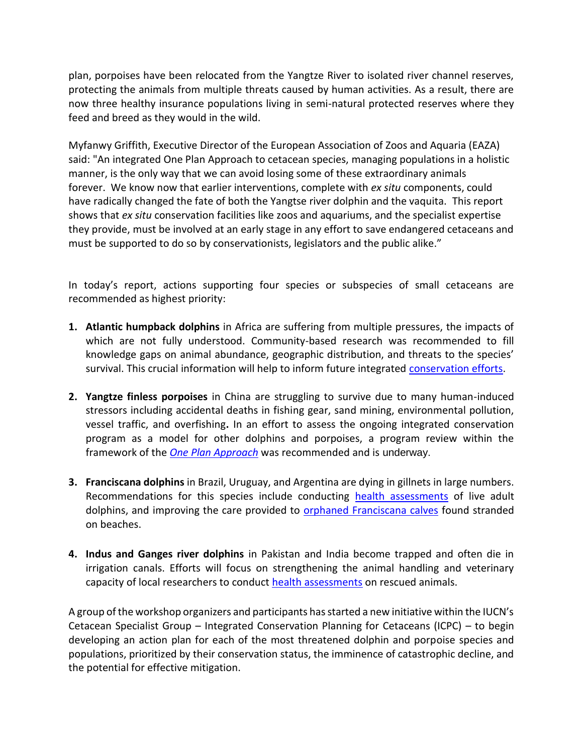plan, porpoises have been relocated from the Yangtze River to isolated river channel reserves, protecting the animals from multiple threats caused by human activities. As a result, there are now three healthy insurance populations living in semi-natural protected reserves where they feed and breed as they would in the wild.

Myfanwy Griffith, Executive Director of the European Association of Zoos and Aquaria (EAZA) said: "An integrated One Plan Approach to cetacean species, managing populations in a holistic manner, is the only way that we can avoid losing some of these extraordinary animals forever. We know now that earlier interventions, complete with *ex situ* components, could have radically changed the fate of both the Yangtse river dolphin and the vaquita. This report shows that *ex situ* conservation facilities like zoos and aquariums, and the specialist expertise they provide, must be involved at an early stage in any effort to save endangered cetaceans and must be supported to do so by conservationists, legislators and the public alike."

In today's report, actions supporting four species or subspecies of small cetaceans are recommended as highest priority:

- **1. Atlantic humpback dolphins** in Africa are suffering from multiple pressures, the impacts of which are not fully understood. Community-based research was recommended to fill knowledge gaps on animal abundance, geographic distribution, and threats to the species' survival. This crucial information will help to inform future integrated [conservation efforts.](http://www.sousateuszii.org/)
- **2. Yangtze finless porpoises** in China are struggling to survive due to many human-induced stressors including accidental deaths in fishing gear, sand mining, environmental pollution, vessel traffic, and overfishing**.** In an effort to assess the ongoing integrated conservation program as a model for other dolphins and porpoises, a program review within the framework of the *[One Plan](http://www.cpsg.org/our-approach/one-plan-approach-conservation) [Approach](http://www.cpsg.org/our-approach/one-plan-approach-conservation)* was recommended and is underway.
- **3. Franciscana dolphins** in Brazil, Uruguay, and Argentina are dying in gillnets in large numbers. Recommendations for this species include conducting [health assessments](https://www.sarasotadolphin.org/saving-the-franciscana-dolphin/) of live adult dolphins, and improving the care provided to **orphaned Franciscana calves** found stranded on beaches.
- **4. Indus and Ganges river dolphins** in Pakistan and India become trapped and often die in irrigation canals. Efforts will focus on strengthening the animal handling and veterinary capacity of local researchers to conduct [health assessments](https://www.nmmf.org/marine-mammal/south-asian-river-dolphin/) on rescued animals.

A group of the workshop organizers and participants has started a new initiative within the IUCN's Cetacean Specialist Group – Integrated Conservation Planning for Cetaceans (ICPC) – to begin developing an action plan for each of the most threatened dolphin and porpoise species and populations, prioritized by their conservation status, the imminence of catastrophic decline, and the potential for effective mitigation.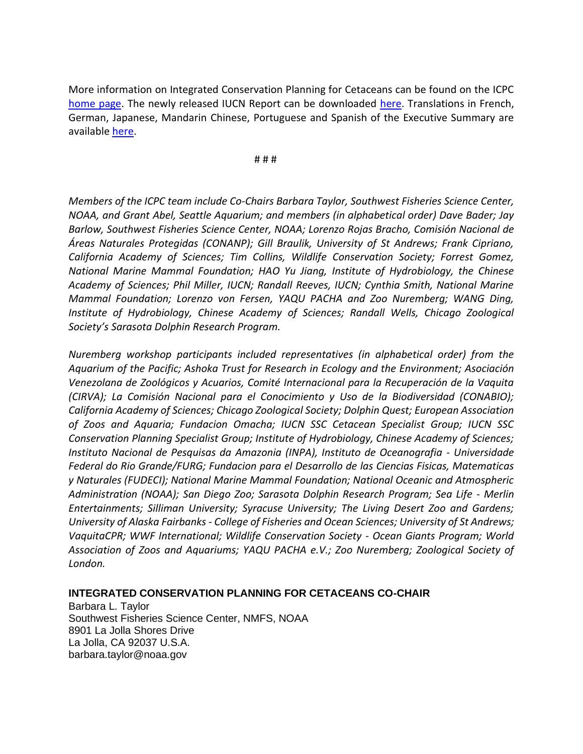More information on Integrated Conservation Planning for Cetaceans can be found on the ICPC [home page.](https://iucn-csg.org/integrated-conservation-planning-for-cetaceans-icpc/) The newly released IUCN Report can be downloaded [here.](https://portals.iucn.org/library/node/49109) Translations in French, German, Japanese, Mandarin Chinese, Portuguese and Spanish of the Executive Summary are available [here.](https://portals.iucn.org/library/node/49110)

# # #

*Members of the ICPC team include Co-Chairs Barbara Taylor, Southwest Fisheries Science Center, NOAA, and Grant Abel, Seattle Aquarium; and members (in alphabetical order) Dave Bader; Jay Barlow, Southwest Fisheries Science Center, NOAA; Lorenzo Rojas Bracho, Comisión Nacional de Áreas Naturales Protegidas (CONANP); Gill Braulik, University of St Andrews; Frank Cipriano, California Academy of Sciences; Tim Collins, Wildlife Conservation Society; Forrest Gomez, National Marine Mammal Foundation; HAO Yu Jiang, Institute of Hydrobiology, the Chinese Academy of Sciences; Phil Miller, IUCN; Randall Reeves, IUCN; Cynthia Smith, National Marine Mammal Foundation; Lorenzo von Fersen, YAQU PACHA and Zoo Nuremberg; WANG Ding, Institute of Hydrobiology, Chinese Academy of Sciences; Randall Wells, Chicago Zoological Society's Sarasota Dolphin Research Program.*

*Nuremberg workshop participants included representatives (in alphabetical order) from the Aquarium of the Pacific; Ashoka Trust for Research in Ecology and the Environment; Asociación Venezolana de Zoológicos y Acuarios, Comité Internacional para la Recuperación de la Vaquita (CIRVA); La Comisión Nacional para el Conocimiento y Uso de la Biodiversidad (CONABIO); California Academy of Sciences; Chicago Zoological Society; Dolphin Quest; European Association of Zoos and Aquaria; Fundacion Omacha; IUCN SSC Cetacean Specialist Group; IUCN SSC Conservation Planning Specialist Group; Institute of Hydrobiology, Chinese Academy of Sciences; Instituto Nacional de Pesquisas da Amazonia (INPA), Instituto de Oceanografia - Universidade Federal do Rio Grande/FURG; Fundacion para el Desarrollo de las Ciencias Fisicas, Matematicas y Naturales (FUDECI); National Marine Mammal Foundation; National Oceanic and Atmospheric Administration (NOAA); San Diego Zoo; Sarasota Dolphin Research Program; Sea Life - Merlin Entertainments; Silliman University; Syracuse University; The Living Desert Zoo and Gardens; University of Alaska Fairbanks - College of Fisheries and Ocean Sciences; University of St Andrews; VaquitaCPR; WWF International; Wildlife Conservation Society - Ocean Giants Program; World Association of Zoos and Aquariums; YAQU PACHA e.V.; Zoo Nuremberg; Zoological Society of London.*

## **INTEGRATED CONSERVATION PLANNING FOR CETACEANS CO-CHAIR**

Barbara L. Taylor Southwest Fisheries Science Center, NMFS, NOAA 8901 La Jolla Shores Drive La Jolla, CA 92037 U.S.A. barbara.taylor@noaa.gov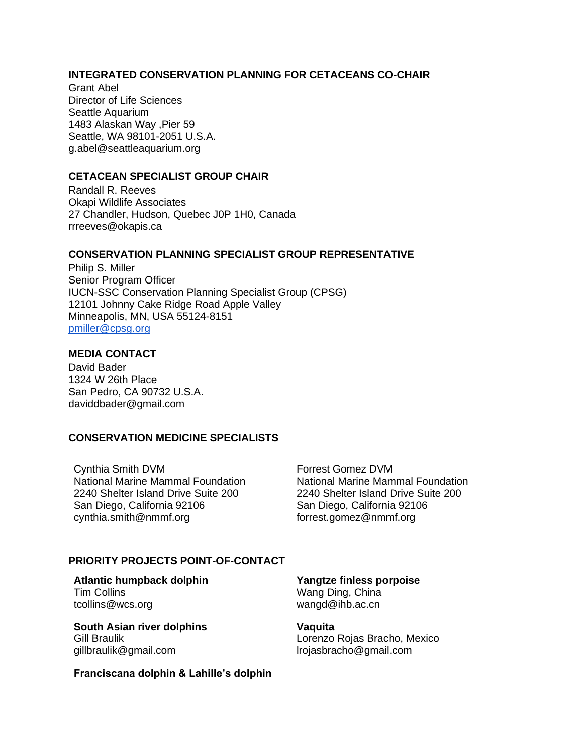## **INTEGRATED CONSERVATION PLANNING FOR CETACEANS CO-CHAIR**

Grant Abel Director of Life Sciences Seattle Aquarium 1483 Alaskan Way ,Pier 59 Seattle, WA 98101-2051 U.S.A. g.abel@seattleaquarium.org

### **CETACEAN SPECIALIST GROUP CHAIR**

Randall R. Reeves Okapi Wildlife Associates 27 Chandler, Hudson, Quebec J0P 1H0, Canada rrreeves@okapis.ca

### **CONSERVATION PLANNING SPECIALIST GROUP REPRESENTATIVE**

Philip S. Miller Senior Program Officer IUCN-SSC Conservation Planning Specialist Group (CPSG) 12101 Johnny Cake Ridge Road Apple Valley Minneapolis, MN, USA 55124-8151 [pmiller@cpsg.org](mailto:pmiller@cpsg.org)

### **MEDIA CONTACT**

David Bader 1324 W 26th Place San Pedro, CA 90732 U.S.A. daviddbader@gmail.com

#### **CONSERVATION MEDICINE SPECIALISTS**

Cynthia Smith DVM National Marine Mammal Foundation 2240 Shelter Island Drive Suite 200 San Diego, California 92106 cynthia.smith@nmmf.org

Forrest Gomez DVM National Marine Mammal Foundation 2240 Shelter Island Drive Suite 200 San Diego, California 92106 forrest.gomez@nmmf.org

## **PRIORITY PROJECTS POINT-OF-CONTACT**

**Atlantic humpback dolphin** Tim Collins tcollins@wcs.org

**South Asian river dolphins** Gill Braulik gillbraulik@gmail.com

**Yangtze finless porpoise**

Wang Ding, China wangd@ihb.ac.cn

#### **Vaquita**

Lorenzo Rojas Bracho, Mexico lrojasbracho@gmail.com

**Franciscana dolphin & Lahille's dolphin**